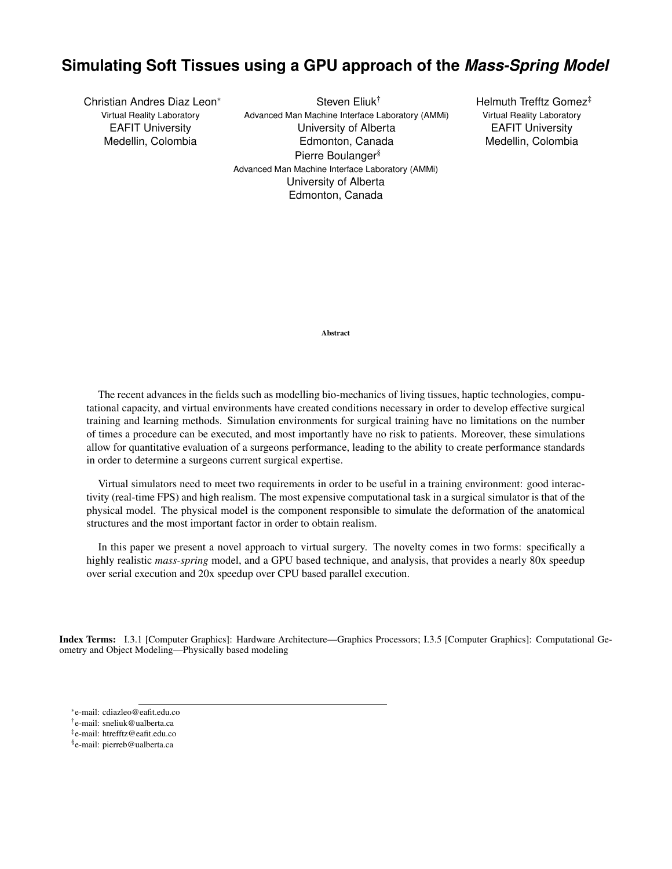# **Simulating Soft Tissues using a GPU approach of the** *Mass-Spring Model*

Christian Andres Diaz Leon<sup>∗</sup> Virtual Reality Laboratory EAFIT University Medellin, Colombia

Steven Eliuk† Advanced Man Machine Interface Laboratory (AMMi) University of Alberta Edmonton, Canada Pierre Boulanger§ Advanced Man Machine Interface Laboratory (AMMi) University of Alberta Edmonton, Canada

Helmuth Trefftz Gomez<sup>#</sup> Virtual Reality Laboratory EAFIT University Medellin, Colombia

Abstract

The recent advances in the fields such as modelling bio-mechanics of living tissues, haptic technologies, computational capacity, and virtual environments have created conditions necessary in order to develop effective surgical training and learning methods. Simulation environments for surgical training have no limitations on the number of times a procedure can be executed, and most importantly have no risk to patients. Moreover, these simulations allow for quantitative evaluation of a surgeons performance, leading to the ability to create performance standards in order to determine a surgeons current surgical expertise.

Virtual simulators need to meet two requirements in order to be useful in a training environment: good interactivity (real-time FPS) and high realism. The most expensive computational task in a surgical simulator is that of the physical model. The physical model is the component responsible to simulate the deformation of the anatomical structures and the most important factor in order to obtain realism.

In this paper we present a novel approach to virtual surgery. The novelty comes in two forms: specifically a highly realistic *mass-spring* model, and a GPU based technique, and analysis, that provides a nearly 80x speedup over serial execution and 20x speedup over CPU based parallel execution.

Index Terms: I.3.1 [Computer Graphics]: Hardware Architecture—Graphics Processors; I.3.5 [Computer Graphics]: Computational Geometry and Object Modeling—Physically based modeling

‡ e-mail: htrefftz@eafit.edu.co

<sup>∗</sup> e-mail: cdiazleo@eafit.edu.co

<sup>†</sup> e-mail: sneliuk@ualberta.ca

<sup>§</sup> e-mail: pierreb@ualberta.ca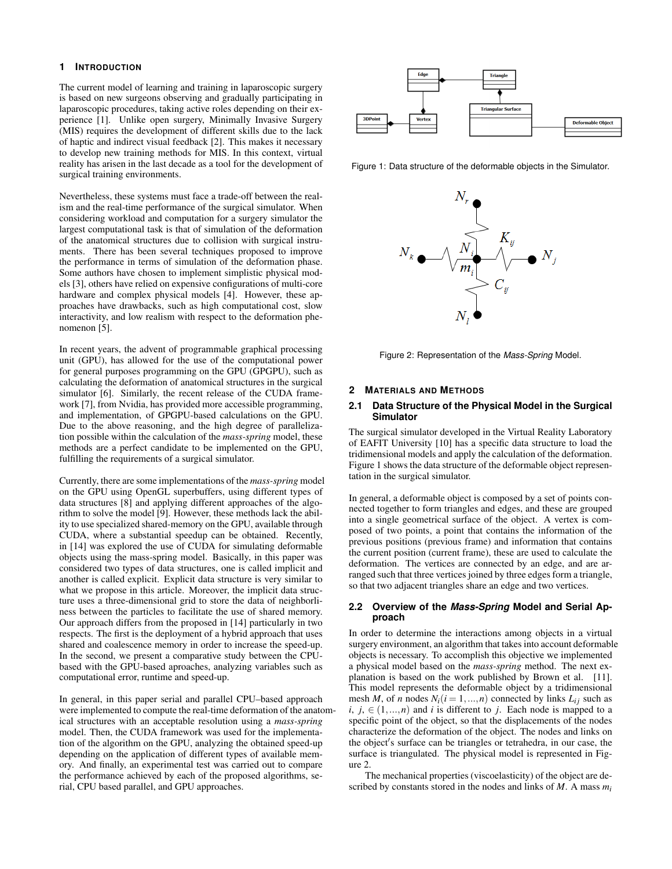# **1 INTRODUCTION**

The current model of learning and training in laparoscopic surgery is based on new surgeons observing and gradually participating in laparoscopic procedures, taking active roles depending on their experience [1]. Unlike open surgery, Minimally Invasive Surgery (MIS) requires the development of different skills due to the lack of haptic and indirect visual feedback [2]. This makes it necessary to develop new training methods for MIS. In this context, virtual reality has arisen in the last decade as a tool for the development of surgical training environments.

Nevertheless, these systems must face a trade-off between the realism and the real-time performance of the surgical simulator. When considering workload and computation for a surgery simulator the largest computational task is that of simulation of the deformation of the anatomical structures due to collision with surgical instruments. There has been several techniques proposed to improve the performance in terms of simulation of the deformation phase. Some authors have chosen to implement simplistic physical models [3], others have relied on expensive configurations of multi-core hardware and complex physical models [4]. However, these approaches have drawbacks, such as high computational cost, slow interactivity, and low realism with respect to the deformation phenomenon [5].

In recent years, the advent of programmable graphical processing unit (GPU), has allowed for the use of the computational power for general purposes programming on the GPU (GPGPU), such as calculating the deformation of anatomical structures in the surgical simulator [6]. Similarly, the recent release of the CUDA framework [7], from Nvidia, has provided more accessible programming, and implementation, of GPGPU-based calculations on the GPU. Due to the above reasoning, and the high degree of parallelization possible within the calculation of the *mass-spring* model, these methods are a perfect candidate to be implemented on the GPU, fulfilling the requirements of a surgical simulator.

Currently, there are some implementations of the *mass-spring* model on the GPU using OpenGL superbuffers, using different types of data structures [8] and applying different approaches of the algorithm to solve the model [9]. However, these methods lack the ability to use specialized shared-memory on the GPU, available through CUDA, where a substantial speedup can be obtained. Recently, in [14] was explored the use of CUDA for simulating deformable objects using the mass-spring model. Basically, in this paper was considered two types of data structures, one is called implicit and another is called explicit. Explicit data structure is very similar to what we propose in this article. Moreover, the implicit data structure uses a three-dimensional grid to store the data of neighborliness between the particles to facilitate the use of shared memory. Our approach differs from the proposed in [14] particularly in two respects. The first is the deployment of a hybrid approach that uses shared and coalescence memory in order to increase the speed-up. In the second, we present a comparative study between the CPUbased with the GPU-based aproaches, analyzing variables such as computational error, runtime and speed-up.

In general, in this paper serial and parallel CPU–based approach were implemented to compute the real-time deformation of the anatomical structures with an acceptable resolution using a *mass-spring* model. Then, the CUDA framework was used for the implementation of the algorithm on the GPU, analyzing the obtained speed-up depending on the application of different types of available memory. And finally, an experimental test was carried out to compare the performance achieved by each of the proposed algorithms, serial, CPU based parallel, and GPU approaches.



Figure 1: Data structure of the deformable objects in the Simulator.



Figure 2: Representation of the *Mass-Spring* Model.

## **2 MATERIALS AND METHODS**

# **2.1 Data Structure of the Physical Model in the Surgical Simulator**

The surgical simulator developed in the Virtual Reality Laboratory of EAFIT University [10] has a specific data structure to load the tridimensional models and apply the calculation of the deformation. Figure 1 shows the data structure of the deformable object representation in the surgical simulator.

In general, a deformable object is composed by a set of points connected together to form triangles and edges, and these are grouped into a single geometrical surface of the object. A vertex is composed of two points, a point that contains the information of the previous positions (previous frame) and information that contains the current position (current frame), these are used to calculate the deformation. The vertices are connected by an edge, and are arranged such that three vertices joined by three edges form a triangle, so that two adjacent triangles share an edge and two vertices.

## **2.2 Overview of the** *Mass-Spring* **Model and Serial Approach**

In order to determine the interactions among objects in a virtual surgery environment, an algorithm that takes into account deformable objects is necessary. To accomplish this objective we implemented a physical model based on the *mass-spring* method. The next explanation is based on the work published by Brown et al. [11]. This model represents the deformable object by a tridimensional mesh *M*, of *n* nodes  $N_i$  ( $i = 1,...,n$ ) connected by links  $L_{ij}$  such as *i*,  $j, \in (1, \ldots, n)$  and *i* is different to *j*. Each node is mapped to a specific point of the object, so that the displacements of the nodes characterize the deformation of the object. The nodes and links on the object's surface can be triangles or tetrahedra, in our case, the surface is triangulated. The physical model is represented in Figure 2.

The mechanical properties (viscoelasticity) of the object are described by constants stored in the nodes and links of *M*. A mass *mi*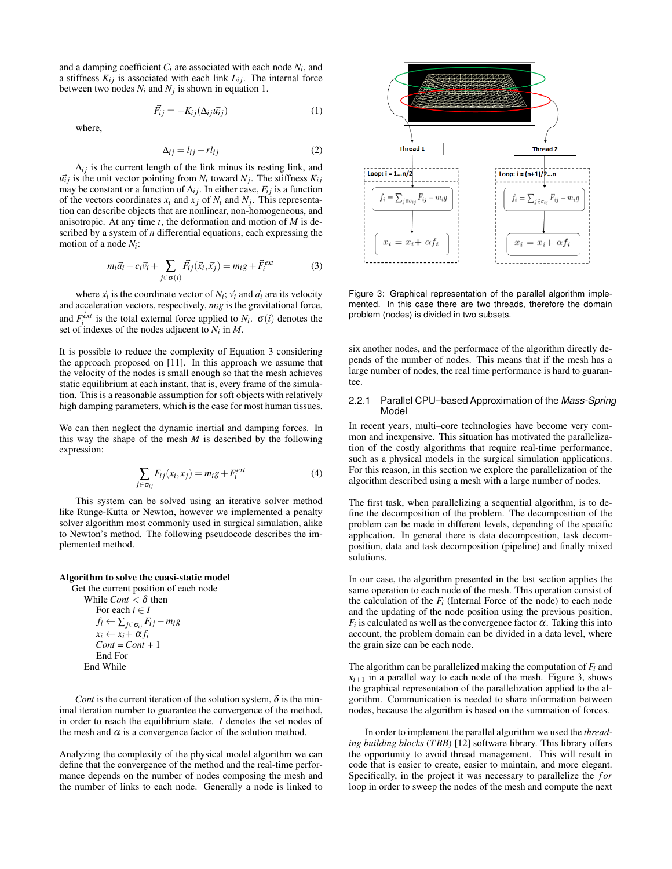and a damping coefficient  $C_i$  are associated with each node  $N_i$ , and a stiffness  $K_{ij}$  is associated with each link  $L_{ij}$ . The internal force between two nodes  $N_i$  and  $N_j$  is shown in equation 1.

$$
\vec{F}_{ij} = -K_{ij}(\Delta_{ij}\vec{u}_{ij})\tag{1}
$$

where,

$$
\Delta_{ij} = l_{ij} - r l_{ij} \tag{2}
$$

 $\Delta_{ij}$  is the current length of the link minus its resting link, and  $u_{ij}$  is the unit vector pointing from  $N_i$  toward  $N_j$ . The stiffness  $K_{ij}$ may be constant or a function of  $\Delta_{ij}$ . In either case,  $F_{ij}$  is a function of the vectors coordinates  $x_i$  and  $x_j$  of  $N_i$  and  $N_j$ . This representation can describe objects that are nonlinear, non-homogeneous, and anisotropic. At any time *t*, the deformation and motion of *M* is described by a system of *n* differential equations, each expressing the motion of a node *Ni* :

$$
m_i \vec{a}_i + c_i \vec{v}_i + \sum_{j \in \sigma(i)} \vec{F}_{ij}(\vec{x}_i, \vec{x}_j) = m_i g + \vec{F}_i^{ext}
$$
(3)

where  $\vec{x_i}$  is the coordinate vector of  $N_i$ ;  $\vec{v_i}$  and  $\vec{a_i}$  are its velocity and acceleration vectors, respectively, *mig* is the gravitational force, and  $\vec{F}_{i}^{\text{ext}}$  is the total external force applied to  $N_i$ .  $\sigma(i)$  denotes the set of indexes of the nodes adjacent to *Ni* in *M*.

It is possible to reduce the complexity of Equation 3 considering the approach proposed on [11]. In this approach we assume that the velocity of the nodes is small enough so that the mesh achieves static equilibrium at each instant, that is, every frame of the simulation. This is a reasonable assumption for soft objects with relatively high damping parameters, which is the case for most human tissues.

We can then neglect the dynamic inertial and damping forces. In this way the shape of the mesh  $M$  is described by the following expression:

$$
\sum_{j \in \sigma_{ij}} F_{ij}(x_i, x_j) = m_i g + F_i^{ext}
$$
 (4)

This system can be solved using an iterative solver method like Runge-Kutta or Newton, however we implemented a penalty solver algorithm most commonly used in surgical simulation, alike to Newton's method. The following pseudocode describes the implemented method.

#### Algorithm to solve the cuasi-static model

Get the current position of each node While *Cont*  $< \delta$  then For each  $i \in I$  $f_i \leftarrow \sum_{j \in \sigma_{ij}} F_{ij} - m_i g$  $x_i \leftarrow x_i + \alpha f_i$  $Cont = Cont + 1$ End For End While

*Cont* is the current iteration of the solution system,  $\delta$  is the minimal iteration number to guarantee the convergence of the method, in order to reach the equilibrium state. *I* denotes the set nodes of the mesh and  $\alpha$  is a convergence factor of the solution method.

Analyzing the complexity of the physical model algorithm we can define that the convergence of the method and the real-time performance depends on the number of nodes composing the mesh and the number of links to each node. Generally a node is linked to



Figure 3: Graphical representation of the parallel algorithm implemented. In this case there are two threads, therefore the domain problem (nodes) is divided in two subsets.

six another nodes, and the performace of the algorithm directly depends of the number of nodes. This means that if the mesh has a large number of nodes, the real time performance is hard to guarantee.

## 2.2.1 Parallel CPU–based Approximation of the *Mass-Spring* Model

In recent years, multi–core technologies have become very common and inexpensive. This situation has motivated the parallelization of the costly algorithms that require real-time performance, such as a physical models in the surgical simulation applications. For this reason, in this section we explore the parallelization of the algorithm described using a mesh with a large number of nodes.

The first task, when parallelizing a sequential algorithm, is to define the decomposition of the problem. The decomposition of the problem can be made in different levels, depending of the specific application. In general there is data decomposition, task decomposition, data and task decomposition (pipeline) and finally mixed solutions.

In our case, the algorithm presented in the last section applies the same operation to each node of the mesh. This operation consist of the calculation of the  $F_i$  (Internal Force of the node) to each node and the updating of the node position using the previous position,  $F_i$  is calculated as well as the convergence factor  $\alpha$ . Taking this into account, the problem domain can be divided in a data level, where the grain size can be each node.

The algorithm can be parallelized making the computation of *Fi* and  $x_{i+1}$  in a parallel way to each node of the mesh. Figure 3, shows the graphical representation of the parallelization applied to the algorithm. Communication is needed to share information between nodes, because the algorithm is based on the summation of forces.

In order to implement the parallel algorithm we used the *threading building blocks* (*T BB*) [12] software library. This library offers the opportunity to avoid thread management. This will result in code that is easier to create, easier to maintain, and more elegant. Specifically, in the project it was necessary to parallelize the *for* loop in order to sweep the nodes of the mesh and compute the next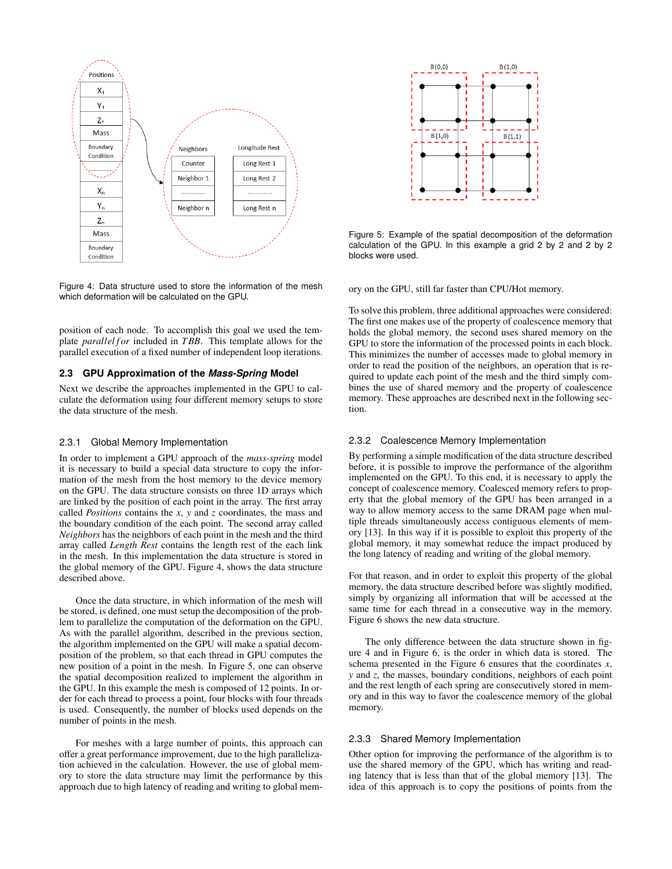

Figure 4: Data structure used to store the information of the mesh which deformation will be calculated on the GPU.

position of each node. To accomplish this goal we used the template *parallel for* included in *TBB*. This template allows for the parallel execution of a fixed number of independent loop iterations.

# **2.3 GPU Approximation of the** *Mass-Spring* **Model**

Next we describe the approaches implemented in the GPU to calculate the deformation using four different memory setups to store the data structure of the mesh.

#### 2.3.1 Global Memory Implementation

In order to implement a GPU approach of the *mass-spring* model it is necessary to build a special data structure to copy the information of the mesh from the host memory to the device memory on the GPU. The data structure consists on three 1D arrays which are linked by the position of each point in the array. The first array called *Positions* contains the *x*, *y* and *z* coordinates, the mass and the boundary condition of the each point. The second array called *Neighbors* has the neighbors of each point in the mesh and the third array called *Length Rest* contains the length rest of the each link in the mesh. In this implementation the data structure is stored in the global memory of the GPU. Figure 4, shows the data structure described above.

Once the data structure, in which information of the mesh will be stored, is defined, one must setup the decomposition of the problem to parallelize the computation of the deformation on the GPU. As with the parallel algorithm, described in the previous section, the algorithm implemented on the GPU will make a spatial decomposition of the problem, so that each thread in GPU computes the new position of a point in the mesh. In Figure 5, one can observe the spatial decomposition realized to implement the algorithm in the GPU. In this example the mesh is composed of 12 points. In order for each thread to process a point, four blocks with four threads is used. Consequently, the number of blocks used depends on the number of points in the mesh.

For meshes with a large number of points, this approach can offer a great performance improvement, due to the high parallelization achieved in the calculation. However, the use of global memory to store the data structure may limit the performance by this approach due to high latency of reading and writing to global mem-



Figure 5: Example of the spatial decomposition of the deformation calculation of the GPU. In this example a grid 2 by 2 and 2 by 2 blocks were used.

ory on the GPU, still far faster than CPU/Hot memory.

To solve this problem, three additional approaches were considered: The first one makes use of the property of coalescence memory that holds the global memory, the second uses shared memory on the GPU to store the information of the processed points in each block. This minimizes the number of accesses made to global memory in order to read the position of the neighbors, an operation that is required to update each point of the mesh and the third simply combines the use of shared memory and the property of coalescence memory. These approaches are described next in the following section.

# 2.3.2 Coalescence Memory Implementation

By performing a simple modification of the data structure described before, it is possible to improve the performance of the algorithm implemented on the GPU. To this end, it is necessary to apply the concept of coalescence memory. Coalesced memory refers to property that the global memory of the GPU has been arranged in a way to allow memory access to the same DRAM page when multiple threads simultaneously access contiguous elements of memory [13]. In this way if it is possible to exploit this property of the global memory, it may somewhat reduce the impact produced by the long latency of reading and writing of the global memory.

For that reason, and in order to exploit this property of the global memory, the data structure described before was slightly modified, simply by organizing all information that will be accessed at the same time for each thread in a consecutive way in the memory. Figure 6 shows the new data structure.

The only difference between the data structure shown in figure 4 and in Figure 6, is the order in which data is stored. The schema presented in the Figure 6 ensures that the coordinates *x*, *y* and *z*, the masses, boundary conditions, neighbors of each point and the rest length of each spring are consecutively stored in memory and in this way to favor the coalescence memory of the global memory.

## 2.3.3 Shared Memory Implementation

Other option for improving the performance of the algorithm is to use the shared memory of the GPU, which has writing and reading latency that is less than that of the global memory [13]. The idea of this approach is to copy the positions of points from the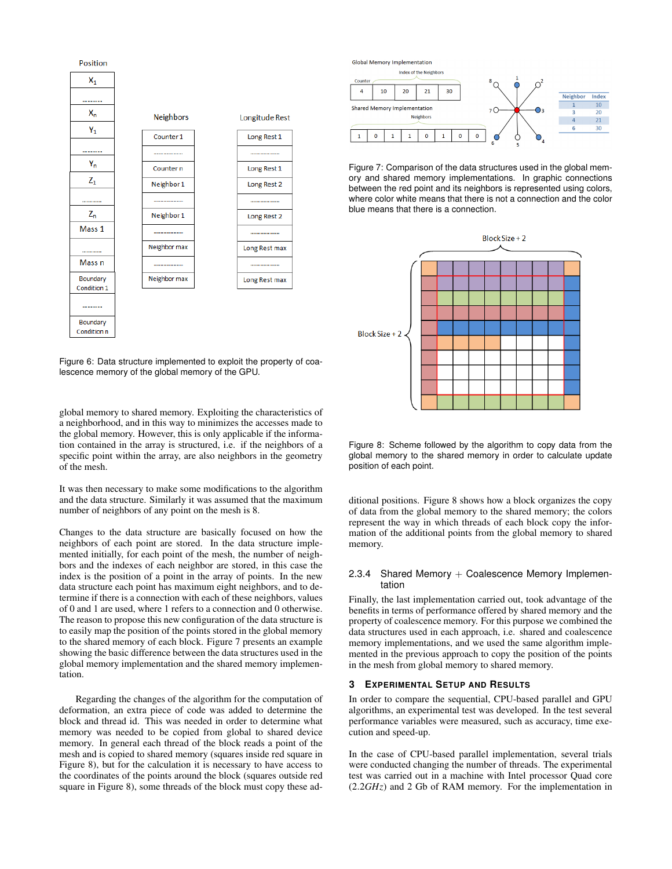

Figure 6: Data structure implemented to exploit the property of coalescence memory of the global memory of the GPU.

global memory to shared memory. Exploiting the characteristics of a neighborhood, and in this way to minimizes the accesses made to the global memory. However, this is only applicable if the information contained in the array is structured, i.e. if the neighbors of a specific point within the array, are also neighbors in the geometry of the mesh.

It was then necessary to make some modifications to the algorithm and the data structure. Similarly it was assumed that the maximum number of neighbors of any point on the mesh is 8.

Changes to the data structure are basically focused on how the neighbors of each point are stored. In the data structure implemented initially, for each point of the mesh, the number of neighbors and the indexes of each neighbor are stored, in this case the index is the position of a point in the array of points. In the new data structure each point has maximum eight neighbors, and to determine if there is a connection with each of these neighbors, values of 0 and 1 are used, where 1 refers to a connection and 0 otherwise. The reason to propose this new configuration of the data structure is to easily map the position of the points stored in the global memory to the shared memory of each block. Figure 7 presents an example showing the basic difference between the data structures used in the global memory implementation and the shared memory implementation.

Regarding the changes of the algorithm for the computation of deformation, an extra piece of code was added to determine the block and thread id. This was needed in order to determine what memory was needed to be copied from global to shared device memory. In general each thread of the block reads a point of the mesh and is copied to shared memory (squares inside red square in Figure 8), but for the calculation it is necessary to have access to the coordinates of the points around the block (squares outside red square in Figure 8), some threads of the block must copy these adGlobal Memory Implementation



Figure 7: Comparison of the data structures used in the global memory and shared memory implementations. In graphic connections between the red point and its neighbors is represented using colors, where color white means that there is not a connection and the color blue means that there is a connection.



Figure 8: Scheme followed by the algorithm to copy data from the global memory to the shared memory in order to calculate update position of each point.

ditional positions. Figure 8 shows how a block organizes the copy of data from the global memory to the shared memory; the colors represent the way in which threads of each block copy the information of the additional points from the global memory to shared memory.

## 2.3.4 Shared Memory  $+$  Coalescence Memory Implementation

Finally, the last implementation carried out, took advantage of the benefits in terms of performance offered by shared memory and the property of coalescence memory. For this purpose we combined the data structures used in each approach, i.e. shared and coalescence memory implementations, and we used the same algorithm implemented in the previous approach to copy the position of the points in the mesh from global memory to shared memory.

## **3 EXPERIMENTAL SETUP AND RESULTS**

In order to compare the sequential, CPU-based parallel and GPU algorithms, an experimental test was developed. In the test several performance variables were measured, such as accuracy, time execution and speed-up.

In the case of CPU-based parallel implementation, several trials were conducted changing the number of threads. The experimental test was carried out in a machine with Intel processor Quad core (2.2*GHz*) and 2 Gb of RAM memory. For the implementation in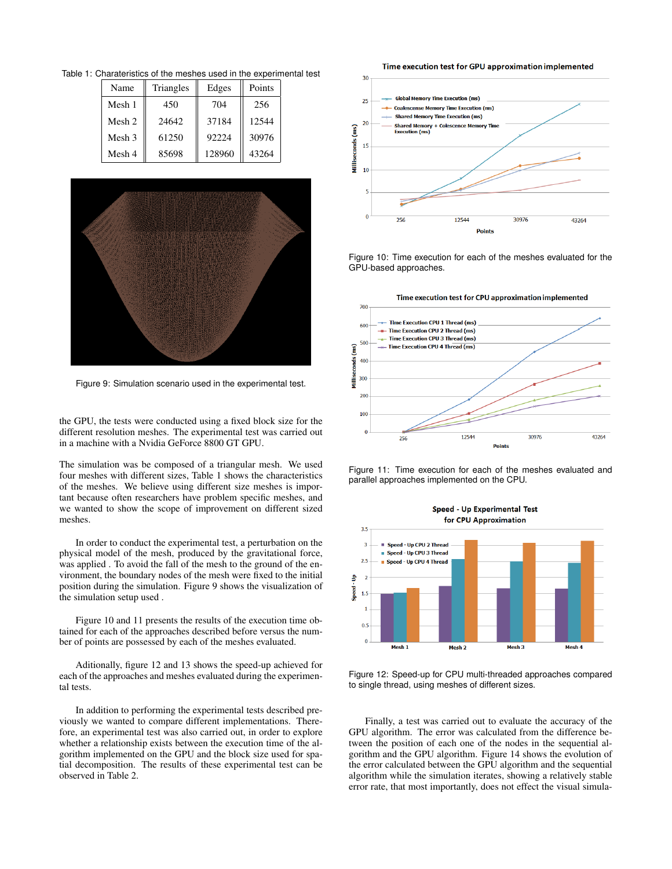Table 1: Charateristics of the meshes used in the experimental test

|  | Name   | Triangles | Edges  | Points |  |  |  |  |
|--|--------|-----------|--------|--------|--|--|--|--|
|  | Mesh 1 | 450       | 704    | 256    |  |  |  |  |
|  | Mesh 2 | 24642     | 37184  | 12544  |  |  |  |  |
|  | Mesh 3 | 61250     | 92224  | 30976  |  |  |  |  |
|  | Mesh 4 | 85698     | 128960 | 43264  |  |  |  |  |



Figure 9: Simulation scenario used in the experimental test.

the GPU, the tests were conducted using a fixed block size for the different resolution meshes. The experimental test was carried out in a machine with a Nvidia GeForce 8800 GT GPU.

The simulation was be composed of a triangular mesh. We used four meshes with different sizes, Table 1 shows the characteristics of the meshes. We believe using different size meshes is important because often researchers have problem specific meshes, and we wanted to show the scope of improvement on different sized meshes.

In order to conduct the experimental test, a perturbation on the physical model of the mesh, produced by the gravitational force, was applied . To avoid the fall of the mesh to the ground of the environment, the boundary nodes of the mesh were fixed to the initial position during the simulation. Figure 9 shows the visualization of the simulation setup used .

Figure 10 and 11 presents the results of the execution time obtained for each of the approaches described before versus the number of points are possessed by each of the meshes evaluated.

Aditionally, figure 12 and 13 shows the speed-up achieved for each of the approaches and meshes evaluated during the experimental tests.

In addition to performing the experimental tests described previously we wanted to compare different implementations. Therefore, an experimental test was also carried out, in order to explore whether a relationship exists between the execution time of the algorithm implemented on the GPU and the block size used for spatial decomposition. The results of these experimental test can be observed in Table 2.







Figure 11: Time execution for each of the meshes evaluated and parallel approaches implemented on the CPU.



Figure 12: Speed-up for CPU multi-threaded approaches compared to single thread, using meshes of different sizes.

Finally, a test was carried out to evaluate the accuracy of the GPU algorithm. The error was calculated from the difference between the position of each one of the nodes in the sequential algorithm and the GPU algorithm. Figure 14 shows the evolution of the error calculated between the GPU algorithm and the sequential algorithm while the simulation iterates, showing a relatively stable error rate, that most importantly, does not effect the visual simula-

Time execution test for GPU approximation implemented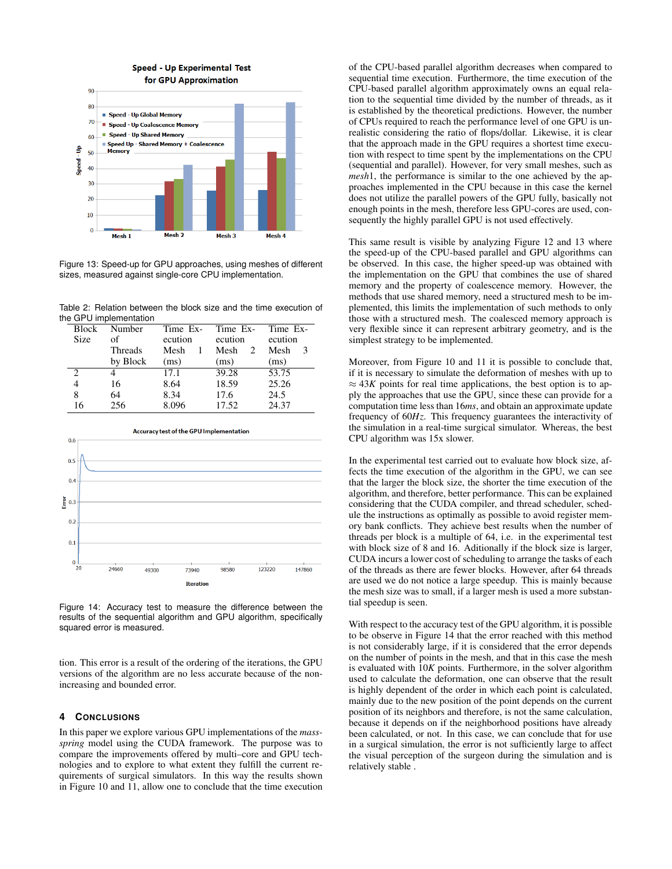

Figure 13: Speed-up for GPU approaches, using meshes of different sizes, measured against single-core CPU implementation.

Table 2: Relation between the block size and the time execution of the GPU implementation

| <b>Block</b>  | Number   | Time Ex- | Time Ex-  | Time Ex- |
|---------------|----------|----------|-----------|----------|
| <b>Size</b>   | of       | ecution  | ecution   | ecution  |
|               | Threads  | Mesh     | Mesh<br>2 | Mesh     |
|               | by Block | (ms)     | (ms)      | (ms)     |
| $\mathcal{D}$ |          | 17.1     | 39.28     | 53.75    |
|               | 16       | 8.64     | 18.59     | 25.26    |
| 8             | 64       | 8.34     | 17.6      | 24.5     |
| 16            | 256      | 8.096    | 17.52     | 24.37    |



Figure 14: Accuracy test to measure the difference between the results of the sequential algorithm and GPU algorithm, specifically squared error is measured.

tion. This error is a result of the ordering of the iterations, the GPU versions of the algorithm are no less accurate because of the nonincreasing and bounded error.

# **4 CONCLUSIONS**

In this paper we explore various GPU implementations of the *massspring* model using the CUDA framework. The purpose was to compare the improvements offered by multi–core and GPU technologies and to explore to what extent they fulfill the current requirements of surgical simulators. In this way the results shown in Figure 10 and 11, allow one to conclude that the time execution

of the CPU-based parallel algorithm decreases when compared to sequential time execution. Furthermore, the time execution of the CPU-based parallel algorithm approximately owns an equal relation to the sequential time divided by the number of threads, as it is established by the theoretical predictions. However, the number of CPUs required to reach the performance level of one GPU is unrealistic considering the ratio of flops/dollar. Likewise, it is clear that the approach made in the GPU requires a shortest time execution with respect to time spent by the implementations on the CPU (sequential and parallel). However, for very small meshes, such as *mesh*1, the performance is similar to the one achieved by the approaches implemented in the CPU because in this case the kernel does not utilize the parallel powers of the GPU fully, basically not enough points in the mesh, therefore less GPU-cores are used, consequently the highly parallel GPU is not used effectively.

This same result is visible by analyzing Figure 12 and 13 where the speed-up of the CPU-based parallel and GPU algorithms can be observed. In this case, the higher speed-up was obtained with the implementation on the GPU that combines the use of shared memory and the property of coalescence memory. However, the methods that use shared memory, need a structured mesh to be implemented, this limits the implementation of such methods to only those with a structured mesh. The coalesced memory approach is very flexible since it can represent arbitrary geometry, and is the simplest strategy to be implemented.

Moreover, from Figure 10 and 11 it is possible to conclude that, if it is necessary to simulate the deformation of meshes with up to  $\approx$  43*K* points for real time applications, the best option is to apply the approaches that use the GPU, since these can provide for a computation time less than 16*ms*, and obtain an approximate update frequency of 60*Hz*. This frequency guarantees the interactivity of the simulation in a real-time surgical simulator. Whereas, the best CPU algorithm was 15x slower.

In the experimental test carried out to evaluate how block size, affects the time execution of the algorithm in the GPU, we can see that the larger the block size, the shorter the time execution of the algorithm, and therefore, better performance. This can be explained considering that the CUDA compiler, and thread scheduler, schedule the instructions as optimally as possible to avoid register memory bank conflicts. They achieve best results when the number of threads per block is a multiple of 64, i.e. in the experimental test with block size of 8 and 16. Aditionally if the block size is larger, CUDA incurs a lower cost of scheduling to arrange the tasks of each of the threads as there are fewer blocks. However, after 64 threads are used we do not notice a large speedup. This is mainly because the mesh size was to small, if a larger mesh is used a more substantial speedup is seen.

With respect to the accuracy test of the GPU algorithm, it is possible to be observe in Figure 14 that the error reached with this method is not considerably large, if it is considered that the error depends on the number of points in the mesh, and that in this case the mesh is evaluated with 10*K* points. Furthermore, in the solver algorithm used to calculate the deformation, one can observe that the result is highly dependent of the order in which each point is calculated, mainly due to the new position of the point depends on the current position of its neighbors and therefore, is not the same calculation, because it depends on if the neighborhood positions have already been calculated, or not. In this case, we can conclude that for use in a surgical simulation, the error is not sufficiently large to affect the visual perception of the surgeon during the simulation and is relatively stable .